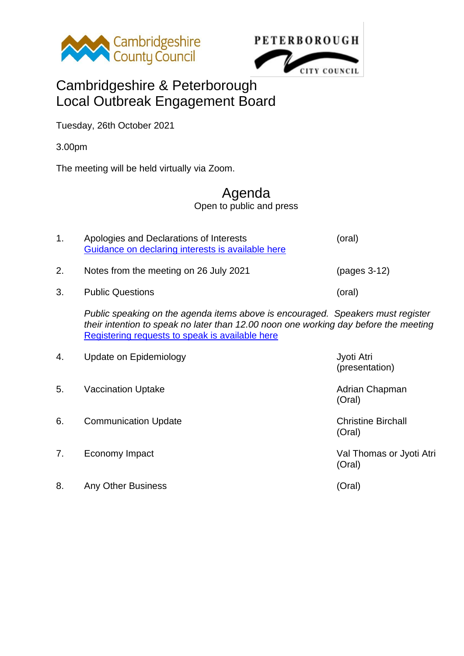

**PETERBOROUGH** CITY COUNCIL

## Cambridgeshire & Peterborough Local Outbreak Engagement Board

Tuesday, 26th October 2021

3.00pm

The meeting will be held virtually via Zoom.

## Agenda

Open to public and press

| 1. | Apologies and Declarations of Interests<br>Guidance on declaring interests is available here                                                                                                                               | (oral)                              |
|----|----------------------------------------------------------------------------------------------------------------------------------------------------------------------------------------------------------------------------|-------------------------------------|
| 2. | Notes from the meeting on 26 July 2021                                                                                                                                                                                     | $(pages 3-12)$                      |
| 3. | <b>Public Questions</b>                                                                                                                                                                                                    | (oral)                              |
|    | Public speaking on the agenda items above is encouraged. Speakers must register<br>their intention to speak no later than 12.00 noon one working day before the meeting<br>Registering requests to speak is available here |                                     |
| 4. | Update on Epidemiology                                                                                                                                                                                                     | Jyoti Atri<br>(presentation)        |
| 5. | <b>Vaccination Uptake</b>                                                                                                                                                                                                  | Adrian Chapman<br>(Oral)            |
| 6. | <b>Communication Update</b>                                                                                                                                                                                                | <b>Christine Birchall</b><br>(Oral) |
| 7. | Economy Impact                                                                                                                                                                                                             | Val Thomas or Jyoti Atri<br>(Oral)  |

8. Any Other Business (Oral)